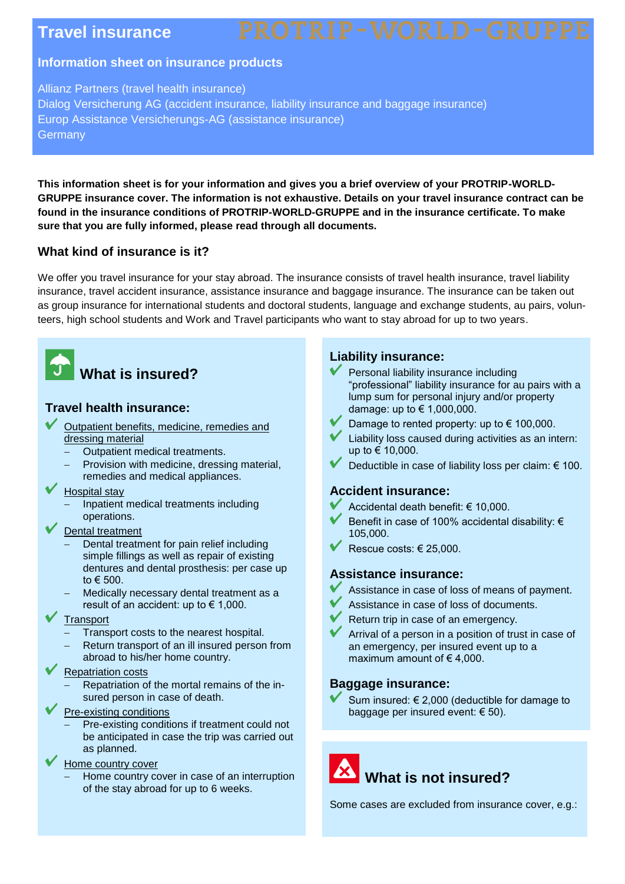### **Travel insurance**

#### **Information sheet on insurance products**

Allianz Partners (travel health insurance) Dialog Versicherung AG (accident insurance, liability insurance and baggage insurance) Europ Assistance Versicherungs-AG (assistance insurance) **Germany** 

**This information sheet is for your information and gives you a brief overview of your PROTRIP-WORLD-GRUPPE insurance cover. The information is not exhaustive. Details on your travel insurance contract can be found in the insurance conditions of PROTRIP-WORLD-GRUPPE and in the insurance certificate. To make sure that you are fully informed, please read through all documents.**

#### **What kind of insurance is it?**

We offer you travel insurance for your stay abroad. The insurance consists of travel health insurance, travel liability insurance, travel accident insurance, assistance insurance and baggage insurance. The insurance can be taken out as group insurance for international students and doctoral students, language and exchange students, au pairs, volunteers, high school students and Work and Travel participants who want to stay abroad for up to two years.



### **What is insured?**

#### **Travel health insurance:**

- Outpatient benefits, medicine, remedies and dressing material
	- Outpatient medical treatments.
	- Provision with medicine, dressing material, remedies and medical appliances.
- Hospital stay
	- Inpatient medical treatments including operations.
- Dental treatment
	- Dental treatment for pain relief including simple fillings as well as repair of existing dentures and dental prosthesis: per case up to € 500.
	- Medically necessary dental treatment as a result of an accident: up to  $\in$  1,000.
- **Transport** 
	- Transport costs to the nearest hospital.
	- Return transport of an ill insured person from abroad to his/her home country.

#### Repatriation costs

- Repatriation of the mortal remains of the insured person in case of death.
- Pre-existing conditions
	- Pre-existing conditions if treatment could not be anticipated in case the trip was carried out as planned.
- Home country cover
	- Home country cover in case of an interruption of the stay abroad for up to 6 weeks.

#### **Liability insurance:**

- Personal liability insurance including "professional" liability insurance for au pairs with a lump sum for personal injury and/or property damage: up to € 1,000,000.
- Damage to rented property: up to  $\epsilon$  100,000.
- Liability loss caused during activities as an intern: up to € 10,000.
- Deductible in case of liability loss per claim: € 100.

#### **Accident insurance:**

- Accidental death benefit: € 10,000.
- Benefit in case of 100% accidental disability: € 105,000.
- Rescue costs: € 25,000.

#### **Assistance insurance:**

- Assistance in case of loss of means of payment.
- Assistance in case of loss of documents.
- Return trip in case of an emergency.
- Arrival of a person in a position of trust in case of an emergency, per insured event up to a maximum amount of  $\epsilon$  4,000.

#### **Baggage insurance:**

Sum insured: € 2,000 (deductible for damage to baggage per insured event:  $\in$  50).

# **What is not insured?**

Some cases are excluded from insurance cover, e.g.: